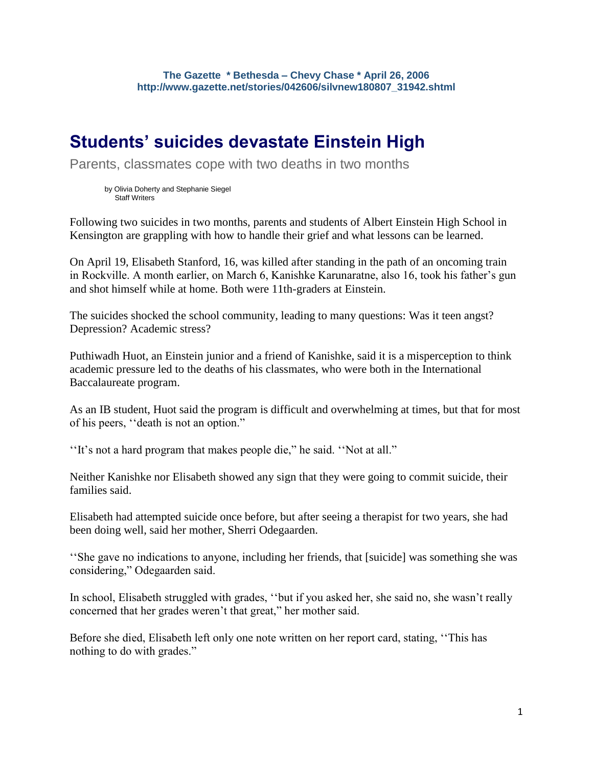## **Students' suicides devastate Einstein High**

Parents, classmates cope with two deaths in two months

by Olivia Doherty and Stephanie Siegel Staff Writers

Following two suicides in two months, parents and students of Albert Einstein High School in Kensington are grappling with how to handle their grief and what lessons can be learned.

On April 19, Elisabeth Stanford, 16, was killed after standing in the path of an oncoming train in Rockville. A month earlier, on March 6, Kanishke Karunaratne, also 16, took his father's gun and shot himself while at home. Both were 11th-graders at Einstein.

The suicides shocked the school community, leading to many questions: Was it teen angst? Depression? Academic stress?

Puthiwadh Huot, an Einstein junior and a friend of Kanishke, said it is a misperception to think academic pressure led to the deaths of his classmates, who were both in the International Baccalaureate program.

As an IB student, Huot said the program is difficult and overwhelming at times, but that for most of his peers, ''death is not an option."

''It's not a hard program that makes people die," he said. ''Not at all."

Neither Kanishke nor Elisabeth showed any sign that they were going to commit suicide, their families said.

Elisabeth had attempted suicide once before, but after seeing a therapist for two years, she had been doing well, said her mother, Sherri Odegaarden.

''She gave no indications to anyone, including her friends, that [suicide] was something she was considering," Odegaarden said.

In school, Elisabeth struggled with grades, ''but if you asked her, she said no, she wasn't really concerned that her grades weren't that great," her mother said.

Before she died, Elisabeth left only one note written on her report card, stating, ''This has nothing to do with grades."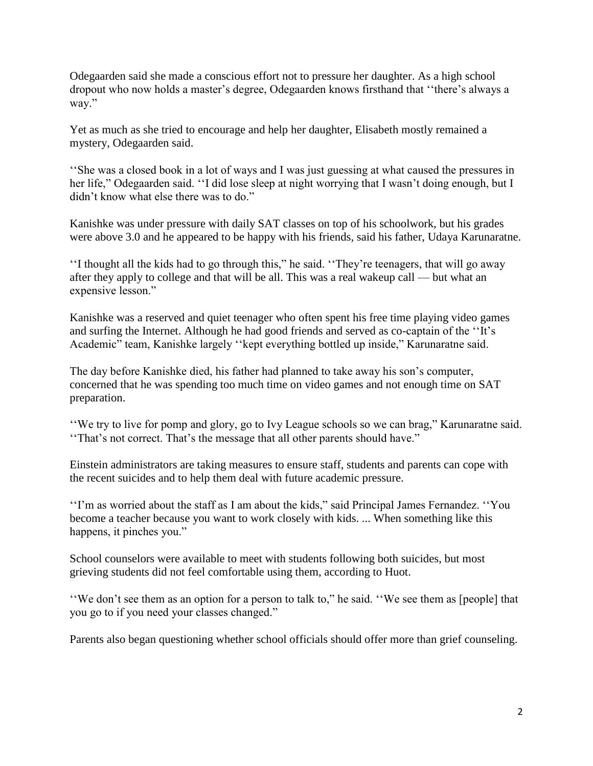Odegaarden said she made a conscious effort not to pressure her daughter. As a high school dropout who now holds a master's degree, Odegaarden knows firsthand that ''there's always a way."

Yet as much as she tried to encourage and help her daughter, Elisabeth mostly remained a mystery, Odegaarden said.

''She was a closed book in a lot of ways and I was just guessing at what caused the pressures in her life," Odegaarden said. ''I did lose sleep at night worrying that I wasn't doing enough, but I didn't know what else there was to do."

Kanishke was under pressure with daily SAT classes on top of his schoolwork, but his grades were above 3.0 and he appeared to be happy with his friends, said his father, Udaya Karunaratne.

''I thought all the kids had to go through this," he said. ''They're teenagers, that will go away after they apply to college and that will be all. This was a real wakeup call — but what an expensive lesson."

Kanishke was a reserved and quiet teenager who often spent his free time playing video games and surfing the Internet. Although he had good friends and served as co-captain of the ''It's Academic" team, Kanishke largely ''kept everything bottled up inside," Karunaratne said.

The day before Kanishke died, his father had planned to take away his son's computer, concerned that he was spending too much time on video games and not enough time on SAT preparation.

''We try to live for pomp and glory, go to Ivy League schools so we can brag," Karunaratne said. ''That's not correct. That's the message that all other parents should have."

Einstein administrators are taking measures to ensure staff, students and parents can cope with the recent suicides and to help them deal with future academic pressure.

''I'm as worried about the staff as I am about the kids," said Principal James Fernandez. ''You become a teacher because you want to work closely with kids. ... When something like this happens, it pinches you."

School counselors were available to meet with students following both suicides, but most grieving students did not feel comfortable using them, according to Huot.

''We don't see them as an option for a person to talk to," he said. ''We see them as [people] that you go to if you need your classes changed."

Parents also began questioning whether school officials should offer more than grief counseling.